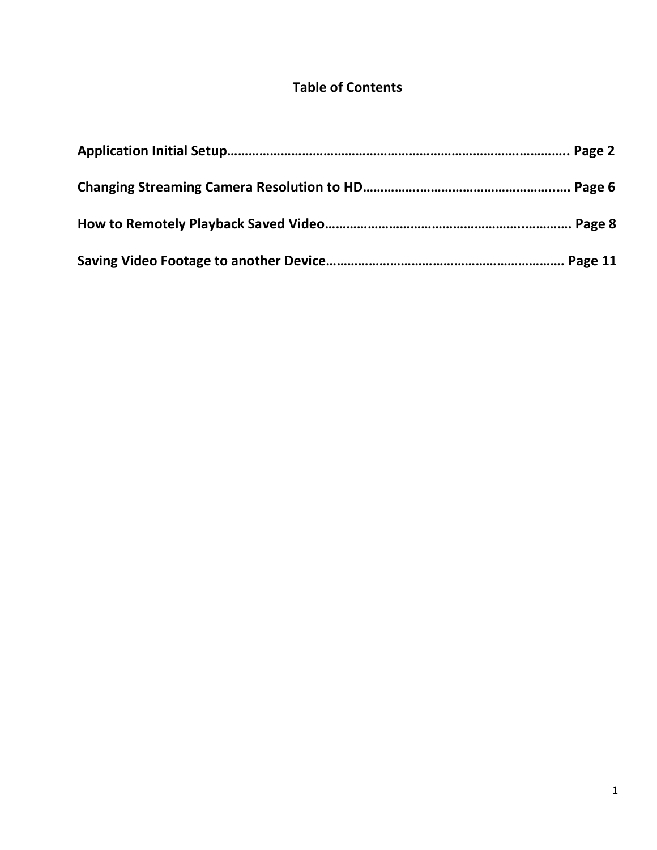### **Table of Contents**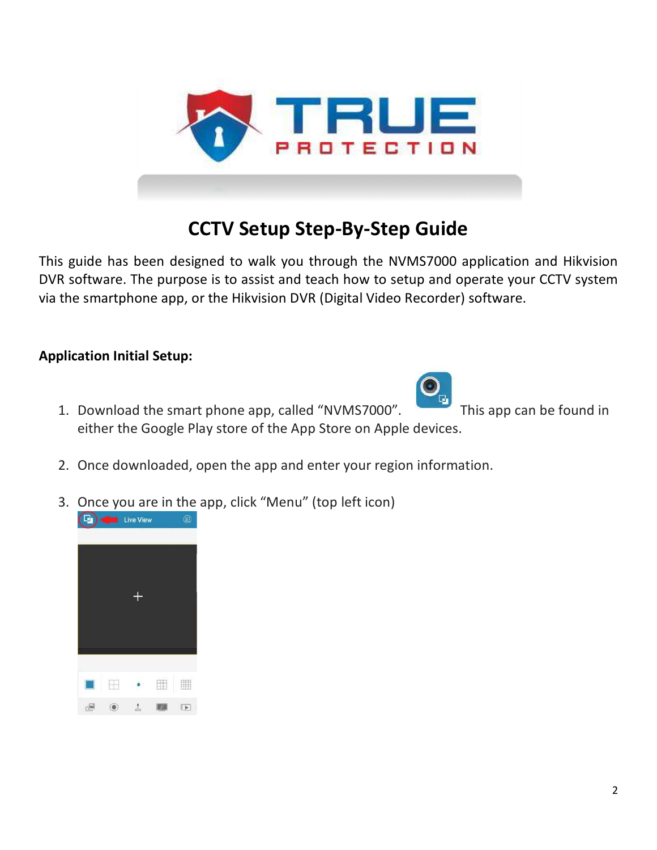

### **CCTV Setup Step-By-Step Guide**

This guide has been designed to walk you through the NVMS7000 application and Hikvision DVR software. The purpose is to assist and teach how to setup and operate your CCTV system via the smartphone app, or the Hikvision DVR (Digital Video Recorder) software.

### **Application Initial Setup:**

1. Download the smart phone app, called "NVMS7000". This app can be found in either the Google Play store of the App Store on Apple devices.

- 2. Once downloaded, open the app and enter your region information.
- 3. Once you are in the app, click "Menu" (top left icon)

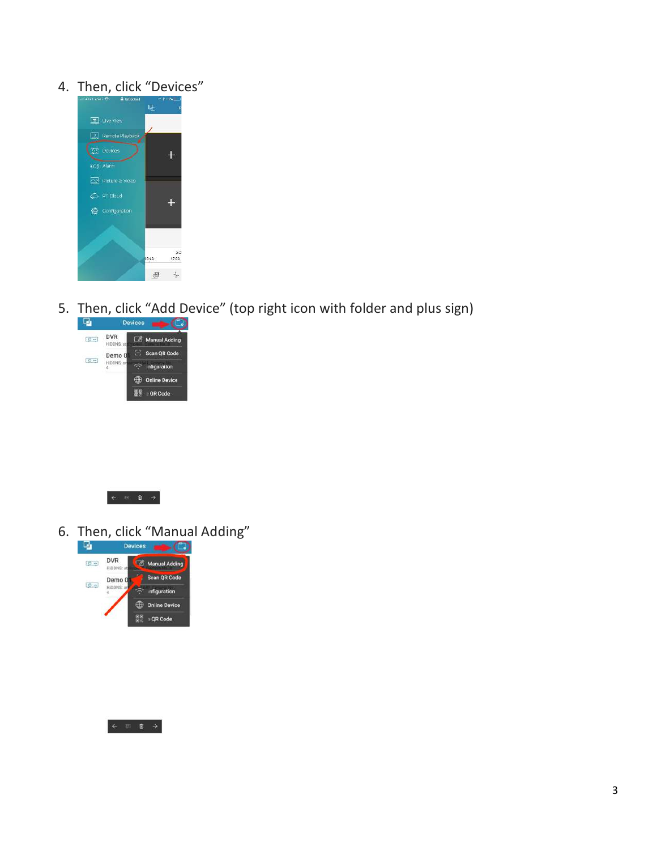### 4. Then, click "Devices"



5. Then, click "Add Device" (top right icon with folder and plus sign)





6. Then, click "Manual Adding"



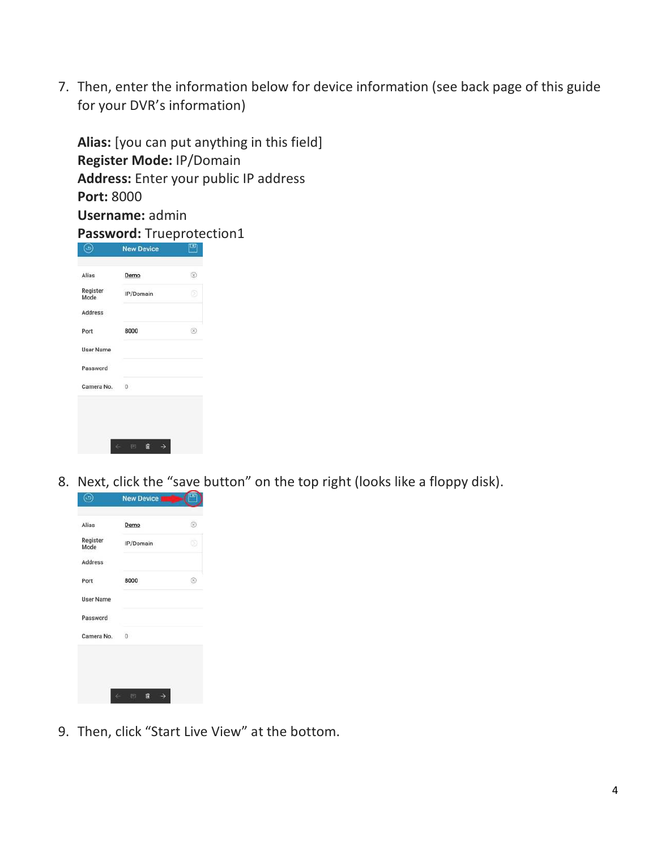7. Then, enter the information below for device information (see back page of this guide for your DVR's information)

**Alias:** [you can put anything in this field] **Register Mode:** IP/Domain **Address:** Enter your public IP address **Port:** 8000 **Username:** admin

**Password:** Trueprotection1

| Alias            | Demo         | ®  |
|------------------|--------------|----|
| Register<br>Mode | IP/Domain    | o  |
| <b>Address</b>   |              |    |
| Port             | 8000         | Œ, |
| <b>User Name</b> |              |    |
| Password         |              |    |
| Camera No.       | $\mathbf{0}$ |    |

8. Next, click the "save button" on the top right (looks like a floppy disk).

| Alias            | Demo           | $^{\circ}$ |
|------------------|----------------|------------|
| Register<br>Mode | IP/Domain      | m          |
| Address          |                |            |
| Port             | 8000           | ⊛          |
| <b>User Name</b> |                |            |
| Password         |                |            |
| Camera No.       | $\overline{0}$ |            |

9. Then, click "Start Live View" at the bottom.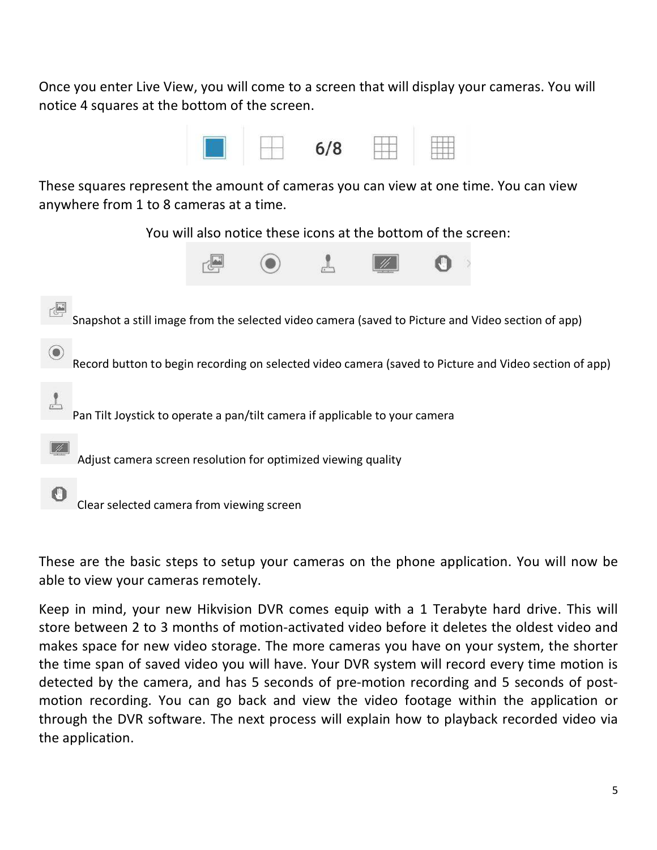Once you enter Live View, you will come to a screen that will display your cameras. You will notice 4 squares at the bottom of the screen.



These squares represent the amount of cameras you can view at one time. You can view anywhere from 1 to 8 cameras at a time.

You will also notice these icons at the bottom of the screen:





These are the basic steps to setup your cameras on the phone application. You will now be able to view your cameras remotely.

Keep in mind, your new Hikvision DVR comes equip with a 1 Terabyte hard drive. This will store between 2 to 3 months of motion-activated video before it deletes the oldest video and makes space for new video storage. The more cameras you have on your system, the shorter the time span of saved video you will have. Your DVR system will record every time motion is detected by the camera, and has 5 seconds of pre-motion recording and 5 seconds of postmotion recording. You can go back and view the video footage within the application or through the DVR software. The next process will explain how to playback recorded video via the application.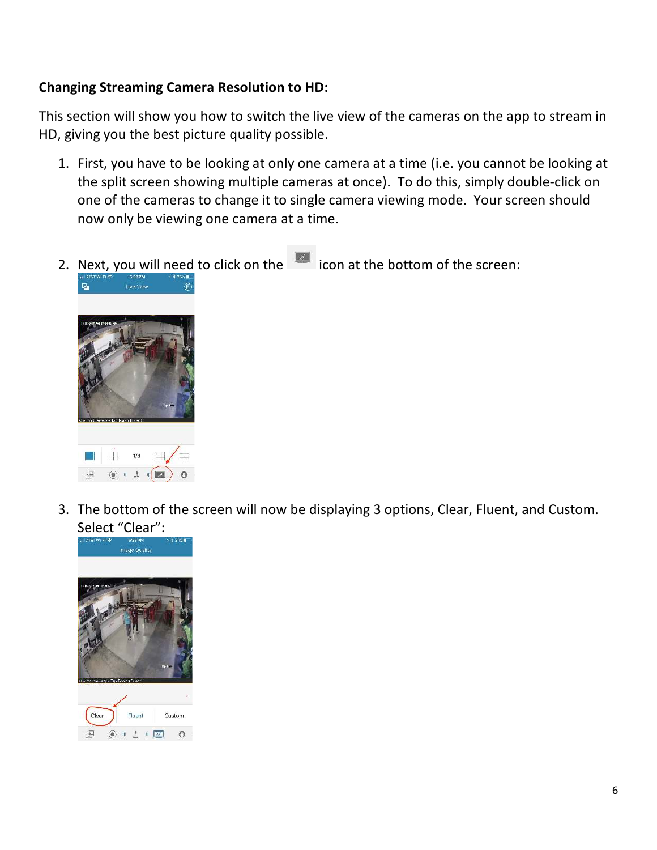### **Changing Streaming Camera Resolution to HD:**

This section will show you how to switch the live view of the cameras on the app to stream in HD, giving you the best picture quality possible.

- 1. First, you have to be looking at only one camera at a time (i.e. you cannot be looking at the split screen showing multiple cameras at once). To do this, simply double-click on one of the cameras to change it to single camera viewing mode. Your screen should now only be viewing one camera at a time.
- 2. Next, you will need to click on the icon at the bottom of the screen: Live View 囚
- 3. The bottom of the screen will now be displaying 3 options, Clear, Fluent, and Custom. Select "Clear":



 $1/8$ 

 $(4)$  +  $(4)$ 

 $\mathbb{H}$ 

 $\Omega$ 

 $\mathbb{E}\left[\left\Vert \mathbb{E}\right\Vert \mathbb{E}\right]$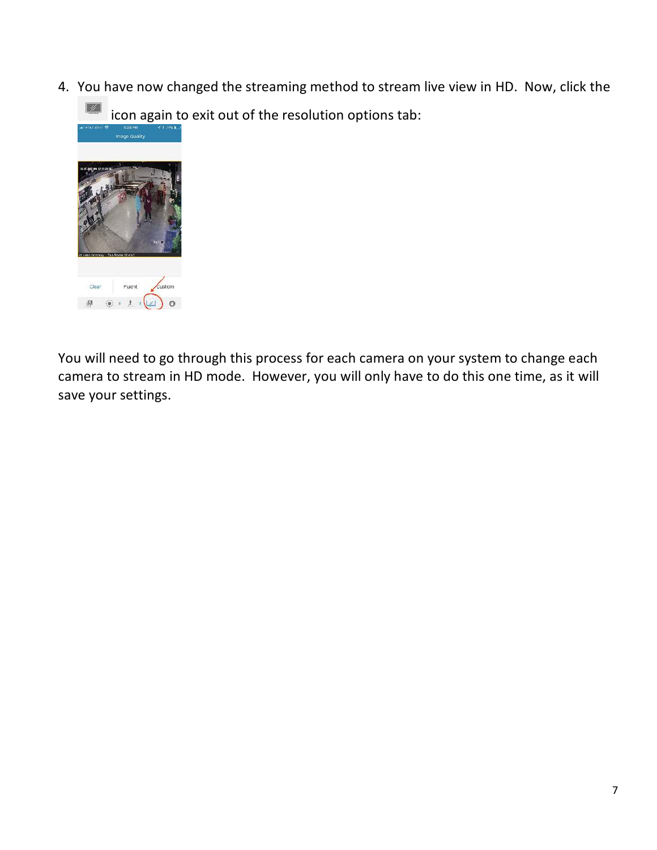4. You have now changed the streaming method to stream live view in HD. Now, click the

icon again to exit out of the resolution options tab:



You will need to go through this process for each camera on your system to change each camera to stream in HD mode. However, you will only have to do this one time, as it will save your settings.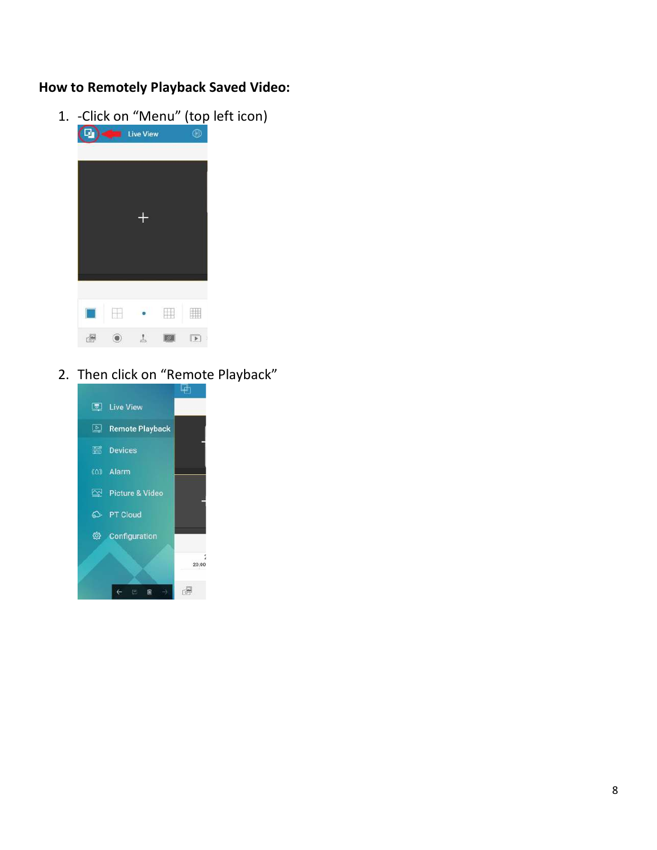### **How to Remotely Playback Saved Video:**

1. -Click on "Menu" (top left icon)



## 2. Then click on "Remote Playback"

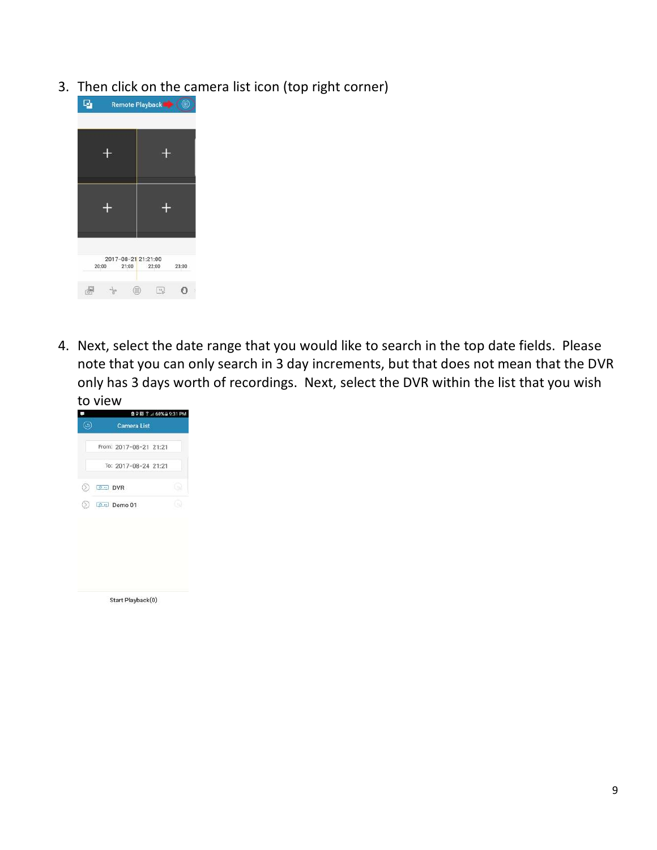3. Then click on the camera list icon (top right corner)



4. Next, select the date range that you would like to search in the top date fields. Please note that you can only search in 3 day increments, but that does not mean that the DVR only has 3 days worth of recordings. Next, select the DVR within the list that you wish to view

|    | 自 ♀ 閲 字 .4 60% a 9:31 PM |      |  |  |
|----|--------------------------|------|--|--|
|    | <b>Camera List</b>       |      |  |  |
|    | From: 2017-08-21 21:21   |      |  |  |
|    | To: 2017-08-24 21:21     |      |  |  |
|    | $O - DVR$                | f sa |  |  |
| O) | $\circ$ $\cdot$ Demo 01  |      |  |  |
|    |                          |      |  |  |
|    |                          |      |  |  |
|    |                          |      |  |  |
|    |                          |      |  |  |
|    | Start Playback(0)        |      |  |  |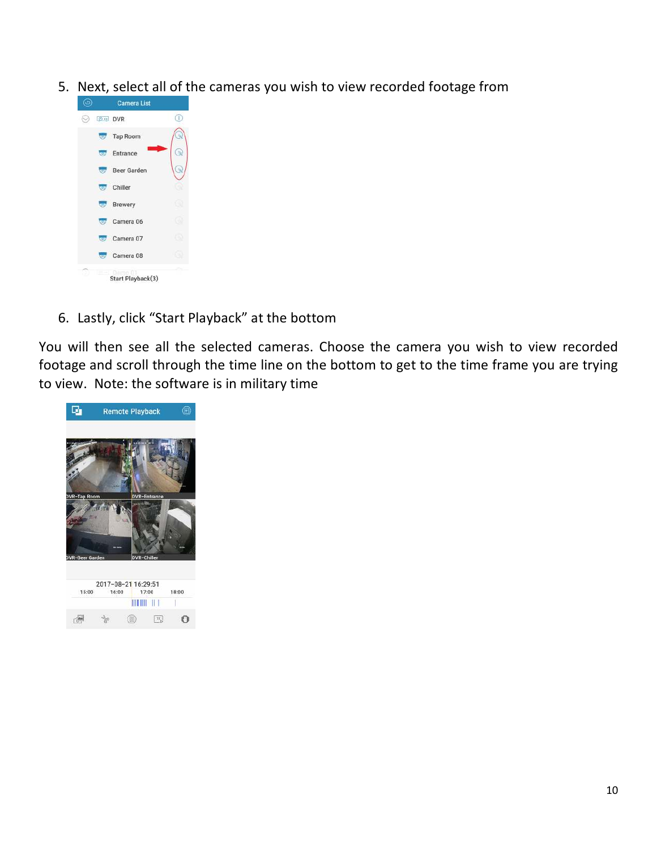5. Next, select all of the cameras you wish to view recorded footage from



6. Lastly, click "Start Playback" at the bottom

You will then see all the selected cameras. Choose the camera you wish to view recorded footage and scroll through the time line on the bottom to get to the time frame you are trying to view. Note: the software is in military time

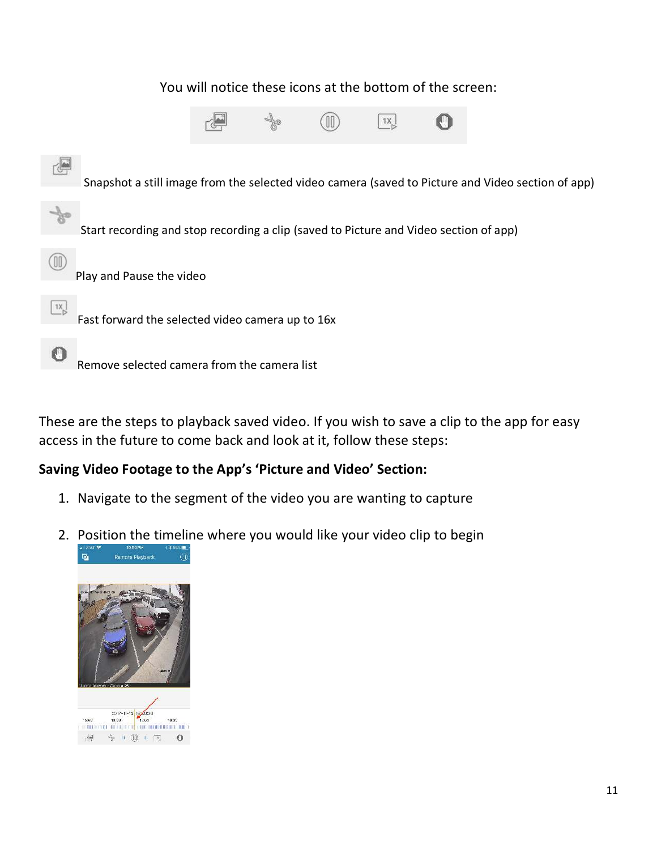### You will notice these icons at the bottom of the screen:





These are the steps to playback saved video. If you wish to save a clip to the app for easy access in the future to come back and look at it, follow these steps:

#### **Saving Video Footage to the App's 'Picture and Video' Section:**

- 1. Navigate to the segment of the video you are wanting to capture
- 2. Position the timeline where you would like your video clip to begin Remote Playback q,

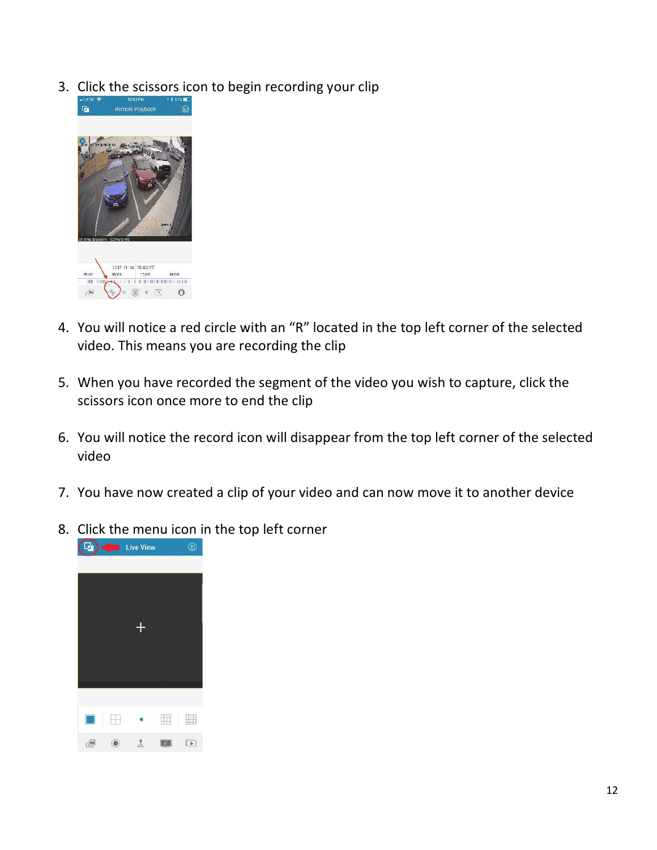3. Click the scissors icon to begin recording your clip



- 4. You will notice a red circle with an "R" located in the top left corner of the selected video. This means you are recording the clip
- 5. When you have recorded the segment of the video you wish to capture, click the scissors icon once more to end the clip
- 6. You will notice the record icon will disappear from the top left corner of the selected video
- 7. You have now created a clip of your video and can now move it to another device
- 8. Click the menu icon in the top left corner

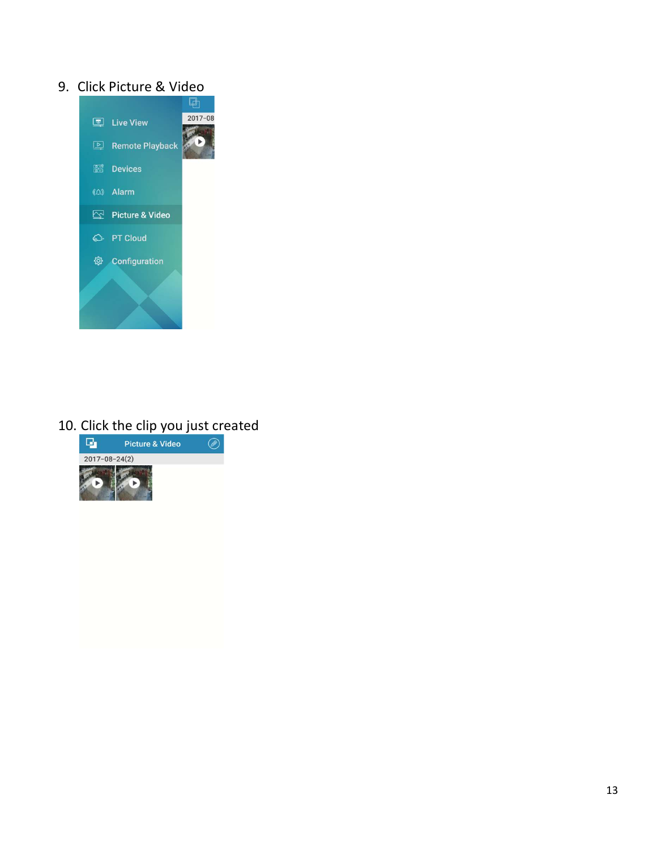### 9. Click Picture & Video



# 10. Click the clip you just created<br>  $\frac{1}{2}$  Picture & Video